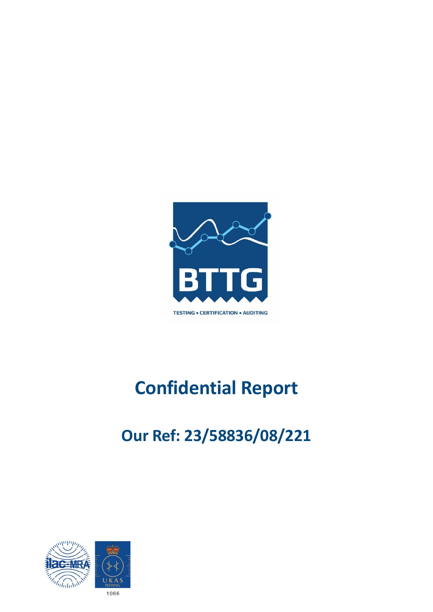

# **Confidential Report**

## **Our Ref: 23/58836/08/221**

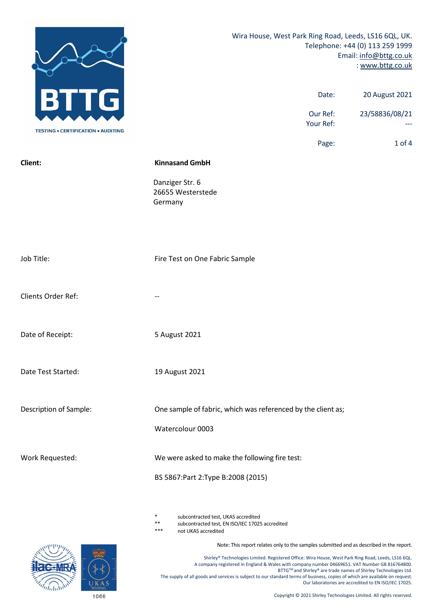|                                           | Wira House, West Park Ring Road, Leeds, LS16 6QL, UK.<br>Telephone: +44 (0) 113 259 1999<br>Email: info@bttg.co.uk<br>: www.bttg.co.uk |                |  |
|-------------------------------------------|----------------------------------------------------------------------------------------------------------------------------------------|----------------|--|
| G                                         | Date:                                                                                                                                  | 20 August 2021 |  |
| <b>TESTING . CERTIFICATION . AUDITING</b> | Our Ref:<br>Your Ref:                                                                                                                  | 23/58836/08/21 |  |
|                                           | Page:                                                                                                                                  | $1$ of $4$     |  |
| Client:                                   | <b>Kinnasand GmbH</b>                                                                                                                  |                |  |
|                                           | Danziger Str. 6<br>26655 Westerstede<br>Germany                                                                                        |                |  |
| Job Title:                                | Fire Test on One Fabric Sample                                                                                                         |                |  |
| Clients Order Ref:                        |                                                                                                                                        |                |  |
| Date of Receipt:                          | 5 August 2021                                                                                                                          |                |  |
| Date Test Started:                        | 19 August 2021                                                                                                                         |                |  |
| Description of Sample:                    | One sample of fabric, which was referenced by the client as;                                                                           |                |  |
|                                           | Watercolour 0003                                                                                                                       |                |  |
| Work Requested:                           | We were asked to make the following fire test:                                                                                         |                |  |
|                                           | BS 5867: Part 2: Type B: 2008 (2015)                                                                                                   |                |  |

\* subcontracted test, UKAS accredited

\*\* subcontracted test, EN ISO/IEC 17025 accredited

\*\*\* not UKAS accredited

Note: This report relates only to the samples submitted and as described in the report.

Shirley® Technologies Limited. Registered Office: Wira House, West Park Ring Road, Leeds, LS16 6QL. A company registered in England & Wales with company number 04669651. VAT Number GB 816764800. BTTG™ and Shirley® are trade names of Shirley Technologies Ltd. The supply of all goods and services is subject to our standard terms of business, copies of which are available on request. Our laboratories are accredited to EN ISO/IEC 17025.

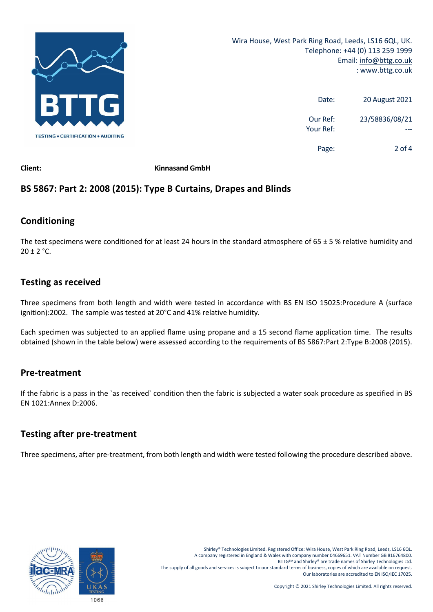

| <b>20 August 2021</b> | Date:                 |
|-----------------------|-----------------------|
| 23/58836/08/21        | Our Ref:<br>Your Ref: |
| 2 of 4                | Page:                 |

**Client: Kinnasand GmbH**

## **BS 5867: Part 2: 2008 (2015): Type B Curtains, Drapes and Blinds**

## **Conditioning**

The test specimens were conditioned for at least 24 hours in the standard atmosphere of  $65 \pm 5$  % relative humidity and  $20 \pm 2$  °C.

## **Testing as received**

Three specimens from both length and width were tested in accordance with BS EN ISO 15025:Procedure A (surface ignition):2002. The sample was tested at 20°C and 41% relative humidity.

Each specimen was subjected to an applied flame using propane and a 15 second flame application time. The results obtained (shown in the table below) were assessed according to the requirements of BS 5867:Part 2:Type B:2008 (2015).

### **Pre‐treatment**

If the fabric is a pass in the `as received` condition then the fabric is subjected a water soak procedure as specified in BS EN 1021:Annex D:2006.

## **Testing after pre‐treatment**

Three specimens, after pre-treatment, from both length and width were tested following the procedure described above.

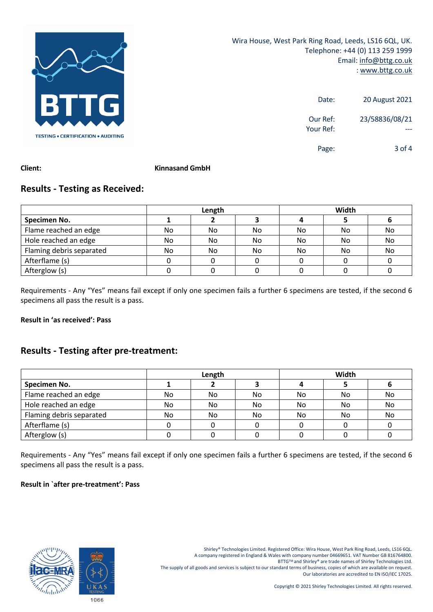

| 20 August 2021 | Date:                 |
|----------------|-----------------------|
| 23/58836/08/21 | Our Ref:<br>Your Ref: |
| 3 of $4$       | Page:                 |

#### **Client: Kinnasand GmbH**

## **Results ‐ Testing as Received:**

|                          | Length |    |     | Width |     |    |
|--------------------------|--------|----|-----|-------|-----|----|
| Specimen No.             |        |    |     |       |     |    |
| Flame reached an edge    | No     | No | No. | No    | No  | No |
| Hole reached an edge     | No     | No | No  | No    | No  | No |
| Flaming debris separated | No.    | No | No  | No    | No. | No |
| Afterflame (s)           |        |    |     |       |     |    |
| Afterglow (s)            |        |    |     |       |     |    |

Requirements ‐ Any "Yes" means fail except if only one specimen fails a further 6 specimens are tested, if the second 6 specimens all pass the result is a pass.

#### **Result in 'as received': Pass**

## **Results ‐ Testing after pre‐treatment:**

|                          | Length |     |     | Width |    |    |
|--------------------------|--------|-----|-----|-------|----|----|
| Specimen No.             |        |     |     |       |    |    |
| Flame reached an edge    | No     | No  | No  | No.   | No | No |
| Hole reached an edge     | No     | No  | No. | No.   | No | No |
| Flaming debris separated | No     | No. | No  | No.   | No | No |
| Afterflame (s)           |        |     |     |       |    |    |
| Afterglow (s)            |        |     |     |       |    |    |

Requirements ‐ Any "Yes" means fail except if only one specimen fails a further 6 specimens are tested, if the second 6 specimens all pass the result is a pass.

#### **Result in `after pre‐treatment': Pass**



Shirley® Technologies Limited. Registered Office: Wira House, West Park Ring Road, Leeds, LS16 6QL. A company registered in England & Wales with company number 04669651. VAT Number GB 816764800. BTTG™ and Shirley® are trade names of Shirley Technologies Ltd. The supply of all goods and services is subject to our standard terms of business, copies of which are available on request. Our laboratories are accredited to EN ISO/IEC 17025.